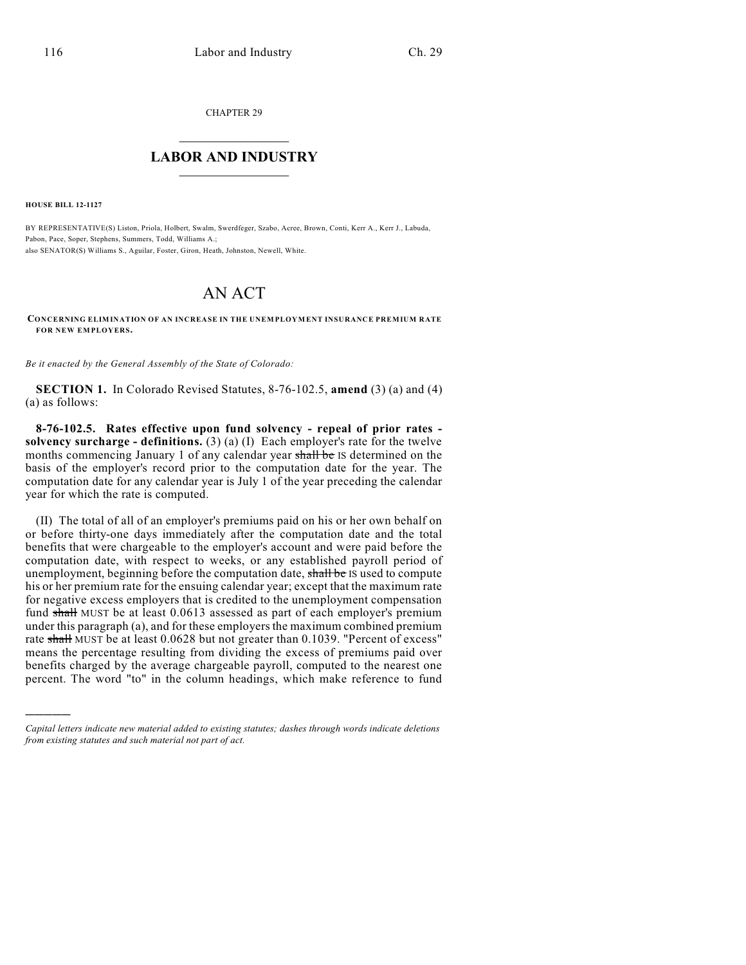CHAPTER 29

## $\overline{\phantom{a}}$  . The set of the set of the set of the set of the set of the set of the set of the set of the set of the set of the set of the set of the set of the set of the set of the set of the set of the set of the set o **LABOR AND INDUSTRY**  $\frac{1}{\sqrt{2}}$  ,  $\frac{1}{\sqrt{2}}$  ,  $\frac{1}{\sqrt{2}}$  ,  $\frac{1}{\sqrt{2}}$  ,  $\frac{1}{\sqrt{2}}$  ,  $\frac{1}{\sqrt{2}}$

**HOUSE BILL 12-1127**

)))))

BY REPRESENTATIVE(S) Liston, Priola, Holbert, Swalm, Swerdfeger, Szabo, Acree, Brown, Conti, Kerr A., Kerr J., Labuda, Pabon, Pace, Soper, Stephens, Summers, Todd, Williams A.; also SENATOR(S) Williams S., Aguilar, Foster, Giron, Heath, Johnston, Newell, White.

# AN ACT

**CONCERNING ELIMINATION OF AN INCREASE IN THE UNEMPLOYMENT INSURANCE PREMIUM RATE FOR NEW EMPLOYERS.**

*Be it enacted by the General Assembly of the State of Colorado:*

**SECTION 1.** In Colorado Revised Statutes, 8-76-102.5, **amend** (3) (a) and (4) (a) as follows:

**8-76-102.5. Rates effective upon fund solvency - repeal of prior rates solvency surcharge - definitions.** (3) (a) (I) Each employer's rate for the twelve months commencing January 1 of any calendar year shall be IS determined on the basis of the employer's record prior to the computation date for the year. The computation date for any calendar year is July 1 of the year preceding the calendar year for which the rate is computed.

(II) The total of all of an employer's premiums paid on his or her own behalf on or before thirty-one days immediately after the computation date and the total benefits that were chargeable to the employer's account and were paid before the computation date, with respect to weeks, or any established payroll period of unemployment, beginning before the computation date, shall be IS used to compute his or her premium rate for the ensuing calendar year; except that the maximum rate for negative excess employers that is credited to the unemployment compensation fund shall MUST be at least 0.0613 assessed as part of each employer's premium under this paragraph (a), and for these employers the maximum combined premium rate shall MUST be at least 0.0628 but not greater than 0.1039. "Percent of excess" means the percentage resulting from dividing the excess of premiums paid over benefits charged by the average chargeable payroll, computed to the nearest one percent. The word "to" in the column headings, which make reference to fund

*Capital letters indicate new material added to existing statutes; dashes through words indicate deletions from existing statutes and such material not part of act.*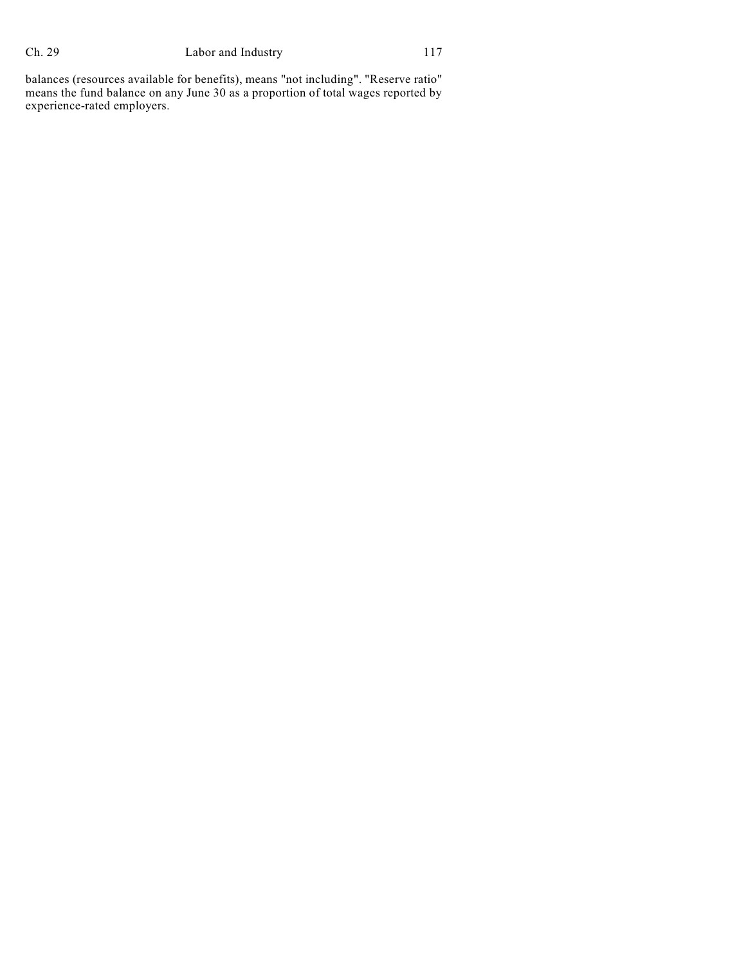### Ch. 29 Labor and Industry 117

balances (resources available for benefits), means "not including". "Reserve ratio" means the fund balance on any June 30 as a proportion of total wages reported by experience-rated employers.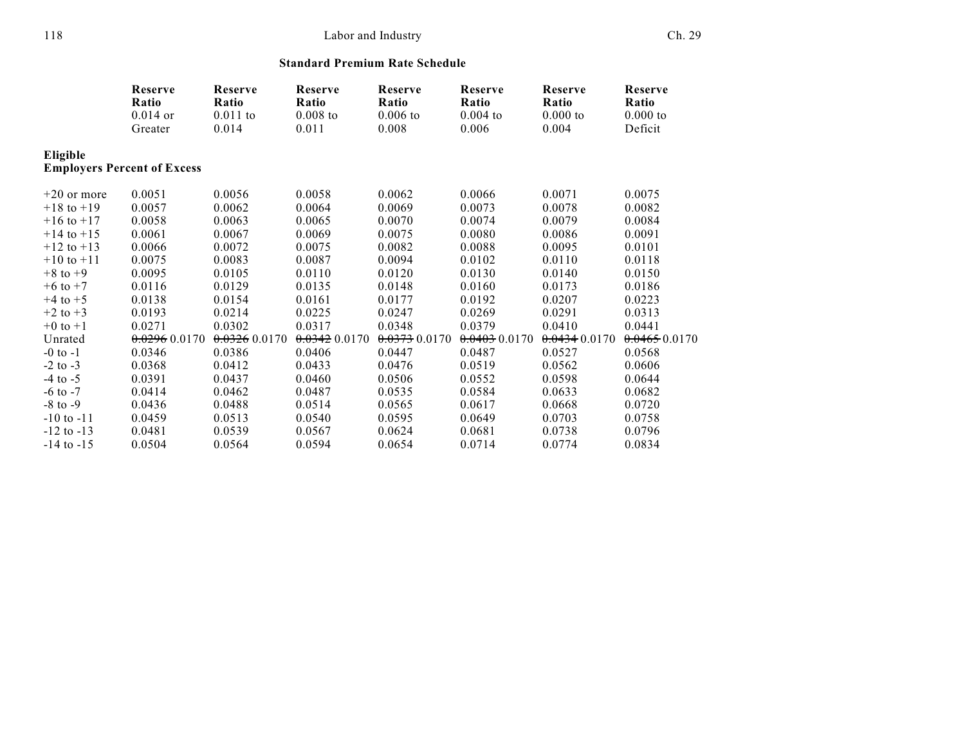### 118 Labor and Industry Ch. 29

#### **Standard Premium Rate Schedule**

|                | Reserve<br>Ratio<br>$0.014$ or<br>Greater | Reserve<br>Ratio<br>$0.011$ to<br>0.014 | Reserve<br>Ratio<br>$0.008$ to<br>0.011 | Reserve<br>Ratio<br>$0.006$ to<br>0.008 | Reserve<br>Ratio<br>$0.004$ to<br>0.006 | Reserve<br>Ratio<br>$0.000$ to<br>0.004 | Reserve<br>Ratio<br>0.000 to<br>Deficit |
|----------------|-------------------------------------------|-----------------------------------------|-----------------------------------------|-----------------------------------------|-----------------------------------------|-----------------------------------------|-----------------------------------------|
|                |                                           |                                         |                                         |                                         |                                         |                                         |                                         |
| Eligible       |                                           |                                         |                                         |                                         |                                         |                                         |                                         |
|                | <b>Employers Percent of Excess</b>        |                                         |                                         |                                         |                                         |                                         |                                         |
| $+20$ or more  | 0.0051                                    | 0.0056                                  | 0.0058                                  | 0.0062                                  | 0.0066                                  | 0.0071                                  | 0.0075                                  |
| $+18$ to $+19$ | 0.0057                                    | 0.0062                                  | 0.0064                                  | 0.0069                                  | 0.0073                                  | 0.0078                                  | 0.0082                                  |
| $+16$ to $+17$ | 0.0058                                    | 0.0063                                  | 0.0065                                  | 0.0070                                  | 0.0074                                  | 0.0079                                  | 0.0084                                  |
| $+14$ to $+15$ | 0.0061                                    | 0.0067                                  | 0.0069                                  | 0.0075                                  | 0.0080                                  | 0.0086                                  | 0.0091                                  |
| $+12$ to $+13$ | 0.0066                                    | 0.0072                                  | 0.0075                                  | 0.0082                                  | 0.0088                                  | 0.0095                                  | 0.0101                                  |
| $+10$ to $+11$ | 0.0075                                    | 0.0083                                  | 0.0087                                  | 0.0094                                  | 0.0102                                  | 0.0110                                  | 0.0118                                  |
| $+8$ to $+9$   | 0.0095                                    | 0.0105                                  | 0.0110                                  | 0.0120                                  | 0.0130                                  | 0.0140                                  | 0.0150                                  |
| $+6$ to $+7$   | 0.0116                                    | 0.0129                                  | 0.0135                                  | 0.0148                                  | 0.0160                                  | 0.0173                                  | 0.0186                                  |
| $+4$ to $+5$   | 0.0138                                    | 0.0154                                  | 0.0161                                  | 0.0177                                  | 0.0192                                  | 0.0207                                  | 0.0223                                  |
| $+2$ to $+3$   | 0.0193                                    | 0.0214                                  | 0.0225                                  | 0.0247                                  | 0.0269                                  | 0.0291                                  | 0.0313                                  |
| $+0$ to $+1$   | 0.0271                                    | 0.0302                                  | 0.0317                                  | 0.0348                                  | 0.0379                                  | 0.0410                                  | 0.0441                                  |
| Unrated        | 0.02960.0170                              | $0.0326$ 0.0170                         | $0.0342$ 0.0170                         | 0.037300170                             | $0.0403$ 0.0170                         | 0.04340.0170                            | 0.04650.0170                            |
| $-0$ to $-1$   | 0.0346                                    | 0.0386                                  | 0.0406                                  | 0.0447                                  | 0.0487                                  | 0.0527                                  | 0.0568                                  |
| $-2$ to $-3$   | 0.0368                                    | 0.0412                                  | 0.0433                                  | 0.0476                                  | 0.0519                                  | 0.0562                                  | 0.0606                                  |
| $-4$ to $-5$   | 0.0391                                    | 0.0437                                  | 0.0460                                  | 0.0506                                  | 0.0552                                  | 0.0598                                  | 0.0644                                  |
| $-6$ to $-7$   | 0.0414                                    | 0.0462                                  | 0.0487                                  | 0.0535                                  | 0.0584                                  | 0.0633                                  | 0.0682                                  |
| $-8$ to $-9$   | 0.0436                                    | 0.0488                                  | 0.0514                                  | 0.0565                                  | 0.0617                                  | 0.0668                                  | 0.0720                                  |
| $-10$ to $-11$ | 0.0459                                    | 0.0513                                  | 0.0540                                  | 0.0595                                  | 0.0649                                  | 0.0703                                  | 0.0758                                  |
| $-12$ to $-13$ | 0.0481                                    | 0.0539                                  | 0.0567                                  | 0.0624                                  | 0.0681                                  | 0.0738                                  | 0.0796                                  |
| $-14$ to $-15$ | 0.0504                                    | 0.0564                                  | 0.0594                                  | 0.0654                                  | 0.0714                                  | 0.0774                                  | 0.0834                                  |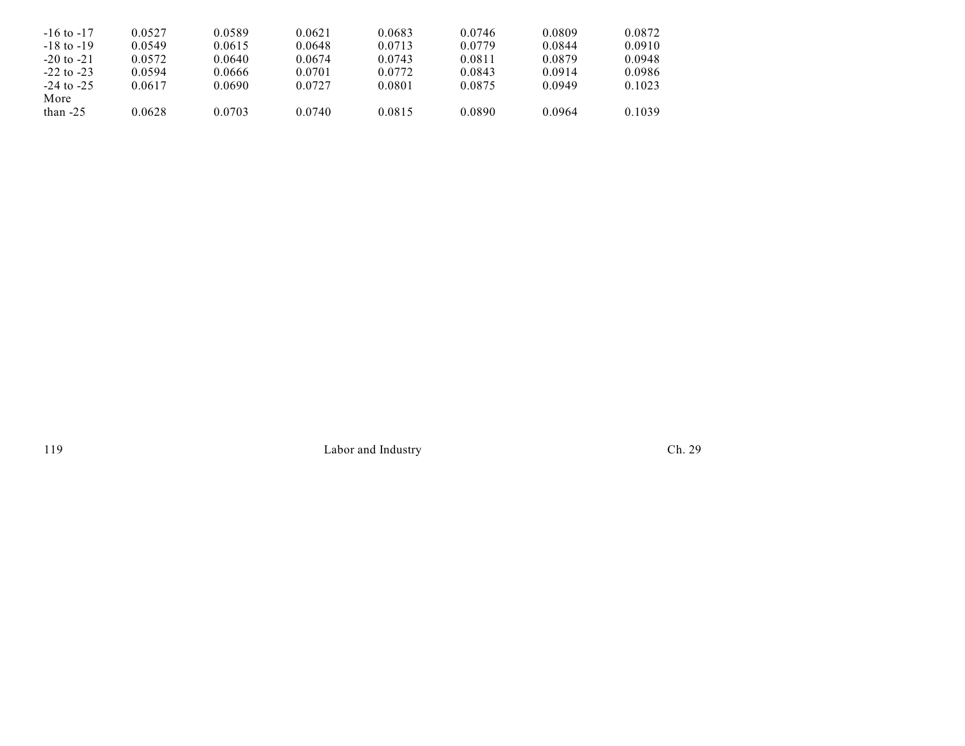| $-16$ to $-17$     | 0.0527 | 0.0589 | 0.0621 | 0.0683 | 0.0746 | 0.0809 | 0.0872 |
|--------------------|--------|--------|--------|--------|--------|--------|--------|
| $-18$ to $-19$     | 0.0549 | 0.0615 | 0.0648 | 0.0713 | 0.0779 | 0.0844 | 0.0910 |
| $-20$ to $-21$     | 0.0572 | 0.0640 | 0.0674 | 0.0743 | 0.0811 | 0.0879 | 0.0948 |
| $-22$ to $-23$     | 0.0594 | 0.0666 | 0.0701 | 0.0772 | 0.0843 | 0.0914 | 0.0986 |
| $-24$ to $-25$     | 0.0617 | 0.0690 | 0.0727 | 0.0801 | 0.0875 | 0.0949 | 0.1023 |
| More<br>than $-25$ | 0.0628 | 0.0703 | 0.0740 | 0.0815 | 0.0890 | 0.0964 | 0.1039 |

119 Labor and Industry Ch. 29